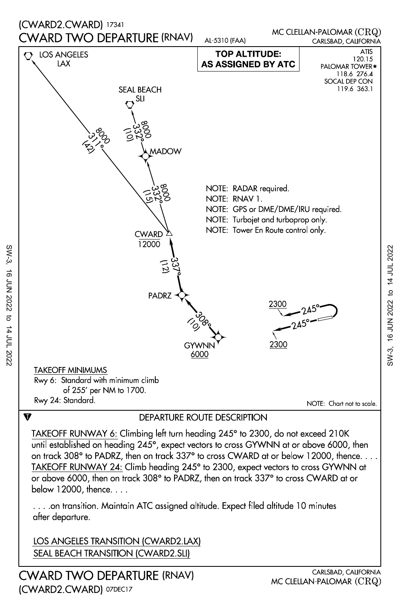

below 12000, thence. . . . or above 6000, then on track 308° to PADRZ, then on track 337° to cross CWARD at or TAKEOFF RUNWAY 24: Climb heading 245° to 2300, expect vectors to cross GYWNN at on track 308° to PADRZ, then on track 337° to cross CWARD at or below 12000, thence. . . . until established on heading 245°, expect vectors to cross GYWNN at or above 6000, then TAKEOFF RUNWAY 6: Climbing left turn heading 245° to 2300, do not exceed 210K

after departure. . . . .on transition. Maintain ATC assigned altitude. Expect filed altitude 10 minutes

LOS ANGELES TRANSITION (CWARD2.LAX) SEAL BEACH TRANSITION (CWARD2.SLI)

CWARD TWO DEPARTURE (RNAV) (CWARD2.CWARD) 07DEC17

SW-3, 16 JUN 2022 to 14 JUL 2022

to 14 JUL 2022

**16 JUN 2022** 

 $SW-3$